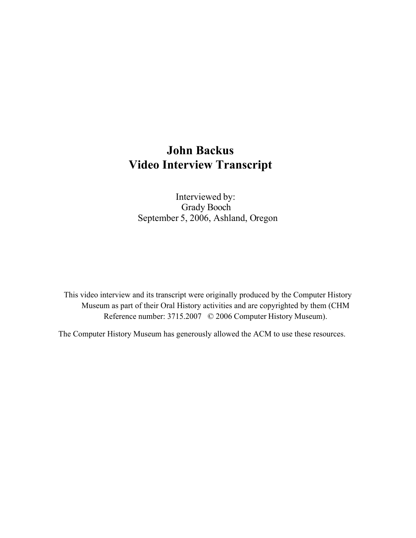## **John Backus Video Interview Transcript**

Interviewed by: Grady Booch September 5, 2006, Ashland, Oregon

This video interview and its transcript were originally produced by the Computer History Museum as part of their Oral History activities and are copyrighted by them (CHM Reference number: 3715.2007 © 2006 Computer History Museum).

The Computer History Museum has generously allowed the ACM to use these resources.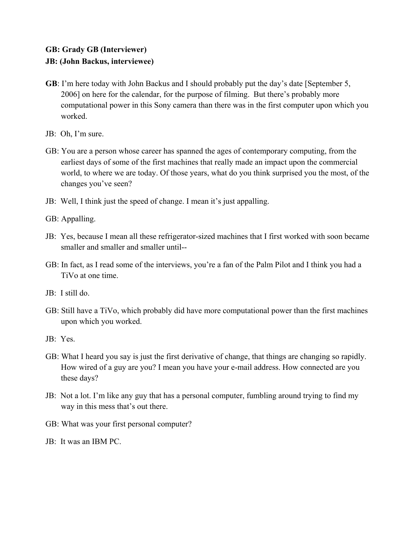## **GB: Grady GB (Interviewer) JB: (John Backus, interviewee)**

- **GB**: I'm here today with John Backus and I should probably put the day's date [September 5, 2006] on here for the calendar, for the purpose of filming. But there's probably more computational power in this Sony camera than there was in the first computer upon which you worked.
- JB: Oh, I'm sure.
- GB: You are a person whose career has spanned the ages of contemporary computing, from the earliest days of some of the first machines that really made an impact upon the commercial world, to where we are today. Of those years, what do you think surprised you the most, of the changes you've seen?
- JB: Well, I think just the speed of change. I mean it's just appalling.
- GB: Appalling.
- JB: Yes, because I mean all these refrigerator-sized machines that I first worked with soon became smaller and smaller and smaller until--
- GB: In fact, as I read some of the interviews, you're a fan of the Palm Pilot and I think you had a TiVo at one time.
- JB: I still do.
- GB: Still have a TiVo, which probably did have more computational power than the first machines upon which you worked.
- JB: Yes.
- GB: What I heard you say is just the first derivative of change, that things are changing so rapidly. How wired of a guy are you? I mean you have your e-mail address. How connected are you these days?
- JB: Not a lot. I'm like any guy that has a personal computer, fumbling around trying to find my way in this mess that's out there.
- GB: What was your first personal computer?
- JB: It was an IBM PC.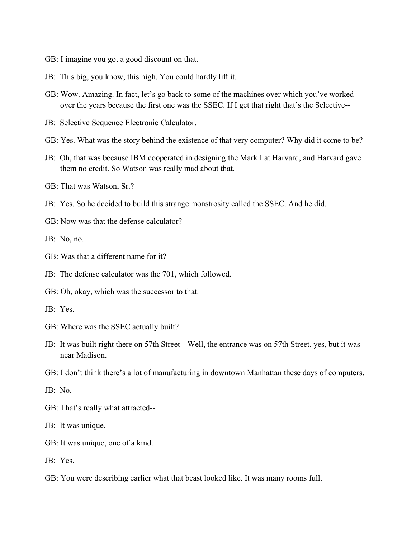- GB: I imagine you got a good discount on that.
- JB: This big, you know, this high. You could hardly lift it.
- GB: Wow. Amazing. In fact, let's go back to some of the machines over which you've worked over the years because the first one was the SSEC. If I get that right that's the Selective--
- JB: Selective Sequence Electronic Calculator.
- GB: Yes. What was the story behind the existence of that very computer? Why did it come to be?
- JB: Oh, that was because IBM cooperated in designing the Mark I at Harvard, and Harvard gave them no credit. So Watson was really mad about that.
- GB: That was Watson, Sr.?
- JB: Yes. So he decided to build this strange monstrosity called the SSEC. And he did.
- GB: Now was that the defense calculator?
- JB: No, no.
- GB: Was that a different name for it?
- JB: The defense calculator was the 701, which followed.
- GB: Oh, okay, which was the successor to that.
- JB: Yes.
- GB: Where was the SSEC actually built?
- JB: It was built right there on 57th Street-- Well, the entrance was on 57th Street, yes, but it was near Madison.
- GB: I don't think there's a lot of manufacturing in downtown Manhattan these days of computers.
- JB: No.
- GB: That's really what attracted--
- JB: It was unique.
- GB: It was unique, one of a kind.
- JB: Yes.
- GB: You were describing earlier what that beast looked like. It was many rooms full.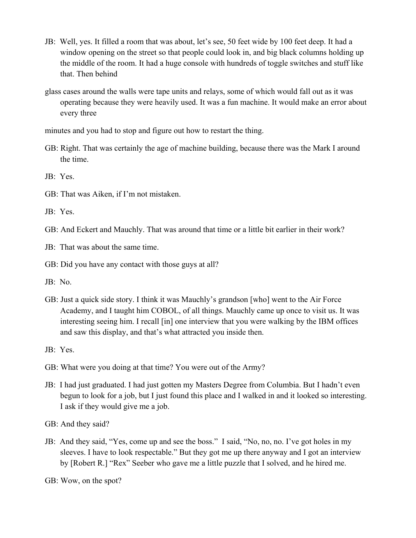- JB: Well, yes. It filled a room that was about, let's see, 50 feet wide by 100 feet deep. It had a window opening on the street so that people could look in, and big black columns holding up the middle of the room. It had a huge console with hundreds of toggle switches and stuff like that. Then behind
- glass cases around the walls were tape units and relays, some of which would fall out as it was operating because they were heavily used. It was a fun machine. It would make an error about every three

minutes and you had to stop and figure out how to restart the thing.

GB: Right. That was certainly the age of machine building, because there was the Mark I around the time.

JB: Yes.

GB: That was Aiken, if I'm not mistaken.

JB: Yes.

GB: And Eckert and Mauchly. That was around that time or a little bit earlier in their work?

JB: That was about the same time.

GB: Did you have any contact with those guys at all?

JB: No.

GB: Just a quick side story. I think it was Mauchly's grandson [who] went to the Air Force Academy, and I taught him COBOL, of all things. Mauchly came up once to visit us. It was interesting seeing him. I recall [in] one interview that you were walking by the IBM offices and saw this display, and that's what attracted you inside then.

JB: Yes.

- GB: What were you doing at that time? You were out of the Army?
- JB: I had just graduated. I had just gotten my Masters Degree from Columbia. But I hadn't even begun to look for a job, but I just found this place and I walked in and it looked so interesting. I ask if they would give me a job.

GB: And they said?

JB: And they said, "Yes, come up and see the boss." I said, "No, no, no. I've got holes in my sleeves. I have to look respectable." But they got me up there anyway and I got an interview by [Robert R.] "Rex" Seeber who gave me a little puzzle that I solved, and he hired me.

GB: Wow, on the spot?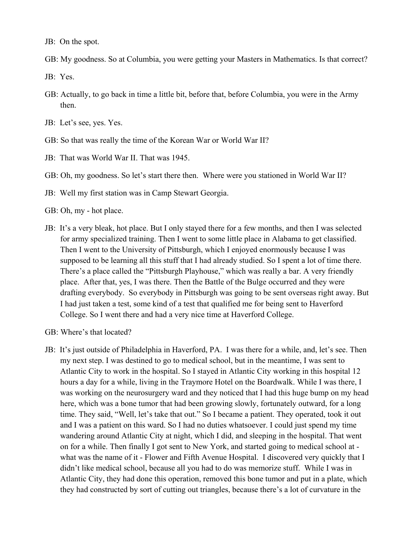JB: On the spot.

GB: My goodness. So at Columbia, you were getting your Masters in Mathematics. Is that correct?

JB: Yes.

- GB: Actually, to go back in time a little bit, before that, before Columbia, you were in the Army then.
- JB: Let's see, yes. Yes.
- GB: So that was really the time of the Korean War or World War II?
- JB: That was World War II. That was 1945.

GB: Oh, my goodness. So let's start there then. Where were you stationed in World War II?

- JB: Well my first station was in Camp Stewart Georgia.
- GB: Oh, my hot place.
- JB: It's a very bleak, hot place. But I only stayed there for a few months, and then I was selected for army specialized training. Then I went to some little place in Alabama to get classified. Then I went to the University of Pittsburgh, which I enjoyed enormously because I was supposed to be learning all this stuff that I had already studied. So I spent a lot of time there. There's a place called the "Pittsburgh Playhouse," which was really a bar. A very friendly place. After that, yes, I was there. Then the Battle of the Bulge occurred and they were drafting everybody. So everybody in Pittsburgh was going to be sent overseas right away. But I had just taken a test, some kind of a test that qualified me for being sent to Haverford College. So I went there and had a very nice time at Haverford College.
- GB: Where's that located?
- JB: It's just outside of Philadelphia in Haverford, PA. I was there for a while, and, let's see. Then my next step. I was destined to go to medical school, but in the meantime, I was sent to Atlantic City to work in the hospital. So I stayed in Atlantic City working in this hospital 12 hours a day for a while, living in the Traymore Hotel on the Boardwalk. While I was there, I was working on the neurosurgery ward and they noticed that I had this huge bump on my head here, which was a bone tumor that had been growing slowly, fortunately outward, for a long time. They said, "Well, let's take that out." So I became a patient. They operated, took it out and I was a patient on this ward. So I had no duties whatsoever. I could just spend my time wandering around Atlantic City at night, which I did, and sleeping in the hospital. That went on for a while. Then finally I got sent to New York, and started going to medical school at what was the name of it - Flower and Fifth Avenue Hospital. I discovered very quickly that I didn't like medical school, because all you had to do was memorize stuff. While I was in Atlantic City, they had done this operation, removed this bone tumor and put in a plate, which they had constructed by sort of cutting out triangles, because there's a lot of curvature in the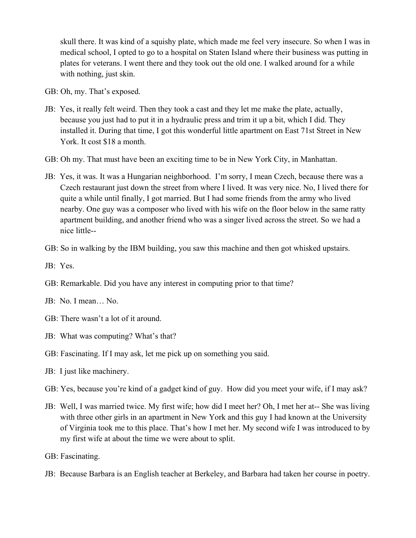skull there. It was kind of a squishy plate, which made me feel very insecure. So when I was in medical school, I opted to go to a hospital on Staten Island where their business was putting in plates for veterans. I went there and they took out the old one. I walked around for a while with nothing, just skin.

- GB: Oh, my. That's exposed.
- JB: Yes, it really felt weird. Then they took a cast and they let me make the plate, actually, because you just had to put it in a hydraulic press and trim it up a bit, which I did. They installed it. During that time, I got this wonderful little apartment on East 71st Street in New York. It cost \$18 a month.
- GB: Oh my. That must have been an exciting time to be in New York City, in Manhattan.
- JB: Yes, it was. It was a Hungarian neighborhood. I'm sorry, I mean Czech, because there was a Czech restaurant just down the street from where I lived. It was very nice. No, I lived there for quite a while until finally, I got married. But I had some friends from the army who lived nearby. One guy was a composer who lived with his wife on the floor below in the same ratty apartment building, and another friend who was a singer lived across the street. So we had a nice little--
- GB: So in walking by the IBM building, you saw this machine and then got whisked upstairs.

- GB: Remarkable. Did you have any interest in computing prior to that time?
- JB: No. I mean… No.
- GB: There wasn't a lot of it around.
- JB: What was computing? What's that?
- GB: Fascinating. If I may ask, let me pick up on something you said.
- JB: I just like machinery.
- GB: Yes, because you're kind of a gadget kind of guy. How did you meet your wife, if I may ask?
- JB: Well, I was married twice. My first wife; how did I meet her? Oh, I met her at-- She was living with three other girls in an apartment in New York and this guy I had known at the University of Virginia took me to this place. That's how I met her. My second wife I was introduced to by my first wife at about the time we were about to split.
- GB: Fascinating.
- JB: Because Barbara is an English teacher at Berkeley, and Barbara had taken her course in poetry.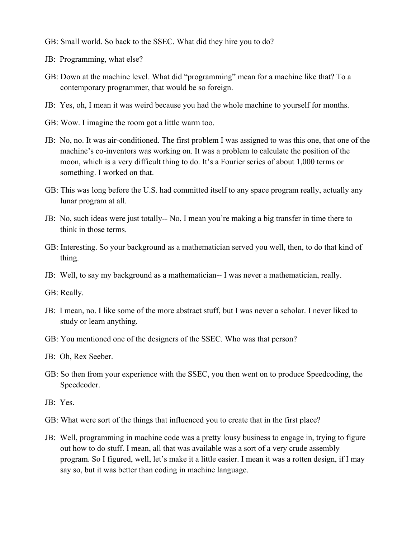- GB: Small world. So back to the SSEC. What did they hire you to do?
- JB: Programming, what else?
- GB: Down at the machine level. What did "programming" mean for a machine like that? To a contemporary programmer, that would be so foreign.
- JB: Yes, oh, I mean it was weird because you had the whole machine to yourself for months.
- GB: Wow. I imagine the room got a little warm too.
- JB: No, no. It was air-conditioned. The first problem I was assigned to was this one, that one of the machine's co-inventors was working on. It was a problem to calculate the position of the moon, which is a very difficult thing to do. It's a Fourier series of about 1,000 terms or something. I worked on that.
- GB: This was long before the U.S. had committed itself to any space program really, actually any lunar program at all.
- JB: No, such ideas were just totally-- No, I mean you're making a big transfer in time there to think in those terms.
- GB: Interesting. So your background as a mathematician served you well, then, to do that kind of thing.
- JB: Well, to say my background as a mathematician-- I was never a mathematician, really.
- GB: Really.
- JB: I mean, no. I like some of the more abstract stuff, but I was never a scholar. I never liked to study or learn anything.
- GB: You mentioned one of the designers of the SSEC. Who was that person?
- JB: Oh, Rex Seeber.
- GB: So then from your experience with the SSEC, you then went on to produce Speedcoding, the Speedcoder.
- JB: Yes.
- GB: What were sort of the things that influenced you to create that in the first place?
- JB: Well, programming in machine code was a pretty lousy business to engage in, trying to figure out how to do stuff. I mean, all that was available was a sort of a very crude assembly program. So I figured, well, let's make it a little easier. I mean it was a rotten design, if I may say so, but it was better than coding in machine language.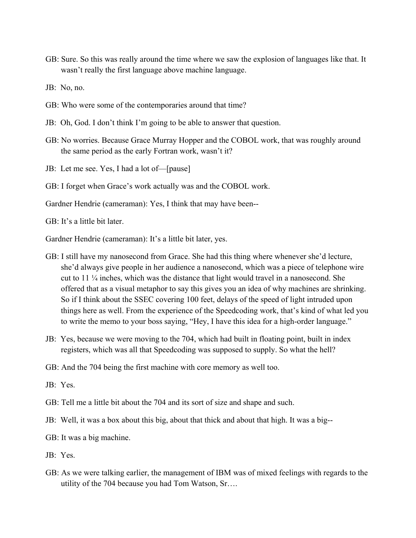GB: Sure. So this was really around the time where we saw the explosion of languages like that. It wasn't really the first language above machine language.

JB: No, no.

- GB: Who were some of the contemporaries around that time?
- JB: Oh, God. I don't think I'm going to be able to answer that question.
- GB: No worries. Because Grace Murray Hopper and the COBOL work, that was roughly around the same period as the early Fortran work, wasn't it?
- JB: Let me see. Yes, I had a lot of—[pause]
- GB: I forget when Grace's work actually was and the COBOL work.

Gardner Hendrie (cameraman): Yes, I think that may have been--

GB: It's a little bit later.

Gardner Hendrie (cameraman): It's a little bit later, yes.

- GB: I still have my nanosecond from Grace. She had this thing where whenever she'd lecture, she'd always give people in her audience a nanosecond, which was a piece of telephone wire cut to  $11\frac{1}{4}$  inches, which was the distance that light would travel in a nanosecond. She offered that as a visual metaphor to say this gives you an idea of why machines are shrinking. So if I think about the SSEC covering 100 feet, delays of the speed of light intruded upon things here as well. From the experience of the Speedcoding work, that's kind of what led you to write the memo to your boss saying, "Hey, I have this idea for a high-order language."
- JB: Yes, because we were moving to the 704, which had built in floating point, built in index registers, which was all that Speedcoding was supposed to supply. So what the hell?

GB: And the 704 being the first machine with core memory as well too.

JB: Yes.

- GB: Tell me a little bit about the 704 and its sort of size and shape and such.
- JB: Well, it was a box about this big, about that thick and about that high. It was a big--

GB: It was a big machine.

JB: Yes.

GB: As we were talking earlier, the management of IBM was of mixed feelings with regards to the utility of the 704 because you had Tom Watson, Sr….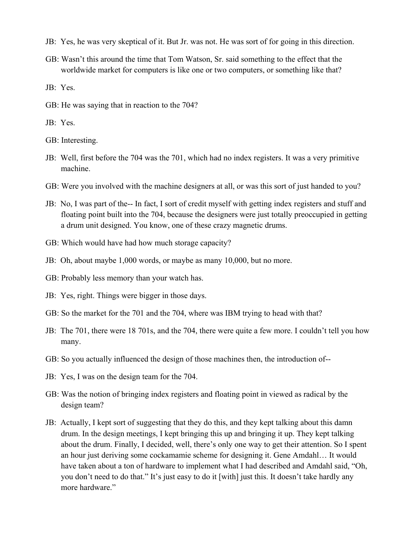- JB: Yes, he was very skeptical of it. But Jr. was not. He was sort of for going in this direction.
- GB: Wasn't this around the time that Tom Watson, Sr. said something to the effect that the worldwide market for computers is like one or two computers, or something like that?

JB: Yes.

- GB: He was saying that in reaction to the 704?
- JB: Yes.

GB: Interesting.

- JB: Well, first before the 704 was the 701, which had no index registers. It was a very primitive machine.
- GB: Were you involved with the machine designers at all, or was this sort of just handed to you?
- JB: No, I was part of the-- In fact, I sort of credit myself with getting index registers and stuff and floating point built into the 704, because the designers were just totally preoccupied in getting a drum unit designed. You know, one of these crazy magnetic drums.
- GB: Which would have had how much storage capacity?
- JB: Oh, about maybe 1,000 words, or maybe as many 10,000, but no more.
- GB: Probably less memory than your watch has.
- JB: Yes, right. Things were bigger in those days.
- GB: So the market for the 701 and the 704, where was IBM trying to head with that?
- JB: The 701, there were 18 701s, and the 704, there were quite a few more. I couldn't tell you how many.
- GB: So you actually influenced the design of those machines then, the introduction of--
- JB: Yes, I was on the design team for the 704.
- GB: Was the notion of bringing index registers and floating point in viewed as radical by the design team?
- JB: Actually, I kept sort of suggesting that they do this, and they kept talking about this damn drum. In the design meetings, I kept bringing this up and bringing it up. They kept talking about the drum. Finally, I decided, well, there's only one way to get their attention. So I spent an hour just deriving some cockamamie scheme for designing it. Gene Amdahl… It would have taken about a ton of hardware to implement what I had described and Amdahl said, "Oh, you don't need to do that." It's just easy to do it [with] just this. It doesn't take hardly any more hardware."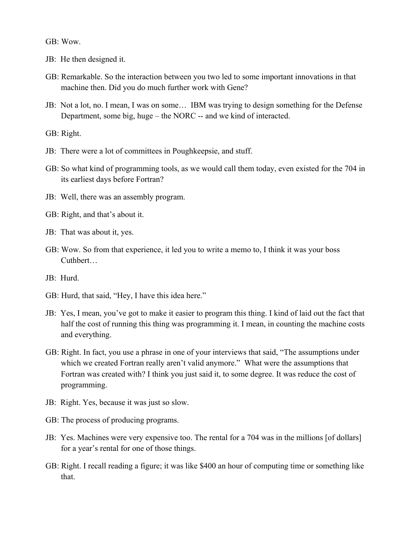GB: Wow.

- JB: He then designed it.
- GB: Remarkable. So the interaction between you two led to some important innovations in that machine then. Did you do much further work with Gene?
- JB: Not a lot, no. I mean, I was on some… IBM was trying to design something for the Defense Department, some big, huge – the NORC -- and we kind of interacted.

GB: Right.

- JB: There were a lot of committees in Poughkeepsie, and stuff.
- GB: So what kind of programming tools, as we would call them today, even existed for the 704 in its earliest days before Fortran?
- JB: Well, there was an assembly program.
- GB: Right, and that's about it.
- JB: That was about it, yes.
- GB: Wow. So from that experience, it led you to write a memo to, I think it was your boss Cuthbert…
- JB: Hurd.
- GB: Hurd, that said, "Hey, I have this idea here."
- JB: Yes, I mean, you've got to make it easier to program this thing. I kind of laid out the fact that half the cost of running this thing was programming it. I mean, in counting the machine costs and everything.
- GB: Right. In fact, you use a phrase in one of your interviews that said, "The assumptions under which we created Fortran really aren't valid anymore." What were the assumptions that Fortran was created with? I think you just said it, to some degree. It was reduce the cost of programming.
- JB: Right. Yes, because it was just so slow.
- GB: The process of producing programs.
- JB: Yes. Machines were very expensive too. The rental for a 704 was in the millions [of dollars] for a year's rental for one of those things.
- GB: Right. I recall reading a figure; it was like \$400 an hour of computing time or something like that.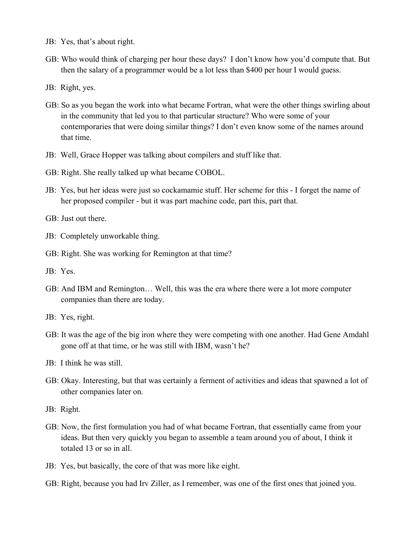- JB: Yes, that's about right.
- GB: Who would think of charging per hour these days? I don't know how you'd compute that. But then the salary of a programmer would be a lot less than \$400 per hour I would guess.
- JB: Right, yes.
- GB: So as you began the work into what became Fortran, what were the other things swirling about in the community that led you to that particular structure? Who were some of your contemporaries that were doing similar things? I don't even know some of the names around that time.
- JB: Well, Grace Hopper was talking about compilers and stuff like that.
- GB: Right. She really talked up what became COBOL.
- JB: Yes, but her ideas were just so cockamamie stuff. Her scheme for this I forget the name of her proposed compiler - but it was part machine code, part this, part that.

GB: Just out there.

- JB: Completely unworkable thing.
- GB: Right. She was working for Remington at that time?
- JB: Yes.
- GB: And IBM and Remington… Well, this was the era where there were a lot more computer companies than there are today.
- JB: Yes, right.
- GB: It was the age of the big iron where they were competing with one another. Had Gene Amdahl gone off at that time, or he was still with IBM, wasn't he?
- JB: I think he was still.
- GB: Okay. Interesting, but that was certainly a ferment of activities and ideas that spawned a lot of other companies later on.
- JB: Right.
- GB: Now, the first formulation you had of what became Fortran, that essentially came from your ideas. But then very quickly you began to assemble a team around you of about, I think it totaled 13 or so in all.
- JB: Yes, but basically, the core of that was more like eight.
- GB: Right, because you had Irv Ziller, as I remember, was one of the first ones that joined you.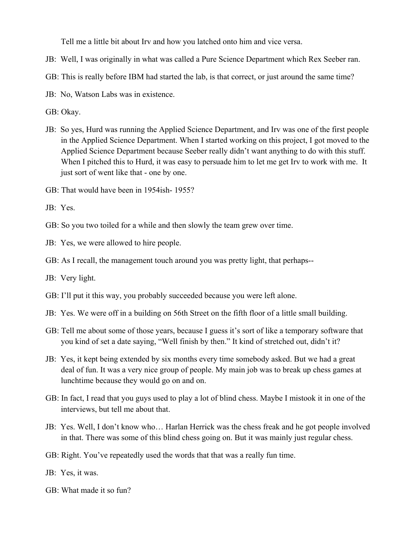Tell me a little bit about Irv and how you latched onto him and vice versa.

- JB: Well, I was originally in what was called a Pure Science Department which Rex Seeber ran.
- GB: This is really before IBM had started the lab, is that correct, or just around the same time?
- JB: No, Watson Labs was in existence.

GB: Okay.

- JB: So yes, Hurd was running the Applied Science Department, and Irv was one of the first people in the Applied Science Department. When I started working on this project, I got moved to the Applied Science Department because Seeber really didn't want anything to do with this stuff. When I pitched this to Hurd, it was easy to persuade him to let me get Irv to work with me. It just sort of went like that - one by one.
- GB: That would have been in 1954ish- 1955?

- GB: So you two toiled for a while and then slowly the team grew over time.
- JB: Yes, we were allowed to hire people.
- GB: As I recall, the management touch around you was pretty light, that perhaps--
- JB: Very light.
- GB: I'll put it this way, you probably succeeded because you were left alone.
- JB: Yes. We were off in a building on 56th Street on the fifth floor of a little small building.
- GB: Tell me about some of those years, because I guess it's sort of like a temporary software that you kind of set a date saying, "Well finish by then." It kind of stretched out, didn't it?
- JB: Yes, it kept being extended by six months every time somebody asked. But we had a great deal of fun. It was a very nice group of people. My main job was to break up chess games at lunchtime because they would go on and on.
- GB: In fact, I read that you guys used to play a lot of blind chess. Maybe I mistook it in one of the interviews, but tell me about that.
- JB: Yes. Well, I don't know who… Harlan Herrick was the chess freak and he got people involved in that. There was some of this blind chess going on. But it was mainly just regular chess.
- GB: Right. You've repeatedly used the words that that was a really fun time.
- JB: Yes, it was.
- GB: What made it so fun?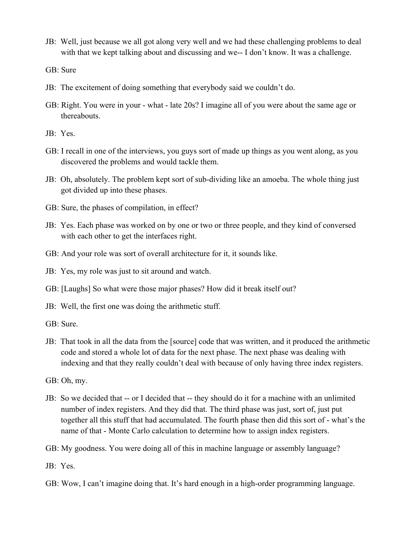JB: Well, just because we all got along very well and we had these challenging problems to deal with that we kept talking about and discussing and we-- I don't know. It was a challenge.

GB: Sure

- JB: The excitement of doing something that everybody said we couldn't do.
- GB: Right. You were in your what late 20s? I imagine all of you were about the same age or thereabouts.

JB: Yes.

- GB: I recall in one of the interviews, you guys sort of made up things as you went along, as you discovered the problems and would tackle them.
- JB: Oh, absolutely. The problem kept sort of sub-dividing like an amoeba. The whole thing just got divided up into these phases.
- GB: Sure, the phases of compilation, in effect?
- JB: Yes. Each phase was worked on by one or two or three people, and they kind of conversed with each other to get the interfaces right.
- GB: And your role was sort of overall architecture for it, it sounds like.

JB: Yes, my role was just to sit around and watch.

GB: [Laughs] So what were those major phases? How did it break itself out?

- JB: Well, the first one was doing the arithmetic stuff.
- GB: Sure.
- JB: That took in all the data from the [source] code that was written, and it produced the arithmetic code and stored a whole lot of data for the next phase. The next phase was dealing with indexing and that they really couldn't deal with because of only having three index registers.

GB: Oh, my.

JB: So we decided that -- or I decided that -- they should do it for a machine with an unlimited number of index registers. And they did that. The third phase was just, sort of, just put together all this stuff that had accumulated. The fourth phase then did this sort of - what's the name of that - Monte Carlo calculation to determine how to assign index registers.

GB: My goodness. You were doing all of this in machine language or assembly language?

JB: Yes.

GB: Wow, I can't imagine doing that. It's hard enough in a high-order programming language.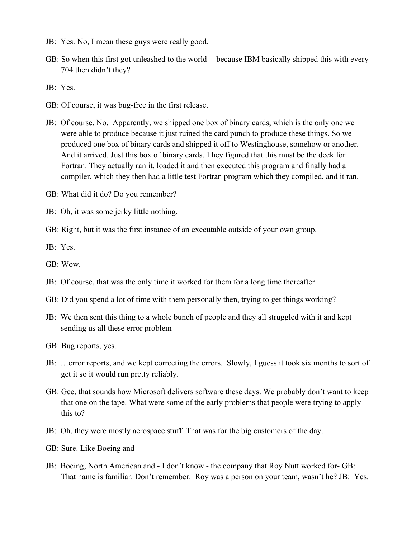- JB: Yes. No, I mean these guys were really good.
- GB: So when this first got unleashed to the world -- because IBM basically shipped this with every 704 then didn't they?

JB: Yes.

- GB: Of course, it was bug-free in the first release.
- JB: Of course. No. Apparently, we shipped one box of binary cards, which is the only one we were able to produce because it just ruined the card punch to produce these things. So we produced one box of binary cards and shipped it off to Westinghouse, somehow or another. And it arrived. Just this box of binary cards. They figured that this must be the deck for Fortran. They actually ran it, loaded it and then executed this program and finally had a compiler, which they then had a little test Fortran program which they compiled, and it ran.

GB: What did it do? Do you remember?

- JB: Oh, it was some jerky little nothing.
- GB: Right, but it was the first instance of an executable outside of your own group.

- GB: Wow.
- JB: Of course, that was the only time it worked for them for a long time thereafter.
- GB: Did you spend a lot of time with them personally then, trying to get things working?
- JB: We then sent this thing to a whole bunch of people and they all struggled with it and kept sending us all these error problem--
- GB: Bug reports, yes.
- JB: …error reports, and we kept correcting the errors. Slowly, I guess it took six months to sort of get it so it would run pretty reliably.
- GB: Gee, that sounds how Microsoft delivers software these days. We probably don't want to keep that one on the tape. What were some of the early problems that people were trying to apply this to?
- JB: Oh, they were mostly aerospace stuff. That was for the big customers of the day.
- GB: Sure. Like Boeing and--
- JB: Boeing, North American and I don't know the company that Roy Nutt worked for- GB: That name is familiar. Don't remember. Roy was a person on your team, wasn't he? JB: Yes.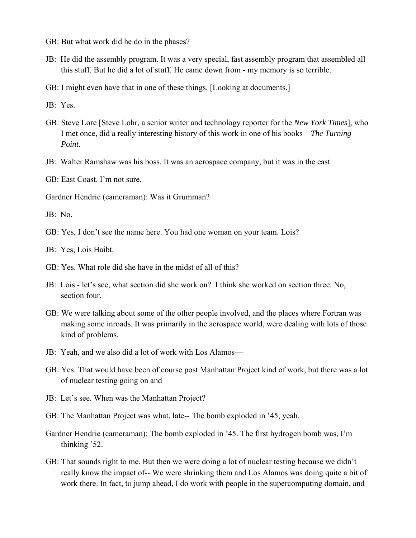- GB: But what work did he do in the phases?
- JB: He did the assembly program. It was a very special, fast assembly program that assembled all this stuff. But he did a lot of stuff. He came down from - my memory is so terrible.
- GB: I might even have that in one of these things. [Looking at documents.]

JB: Yes.

- GB: Steve Lore [Steve Lohr, a senior writer and technology reporter for the *New York Times*], who I met once, did a really interesting history of this work in one of his books – *The Turning Point*.
- JB: Walter Ramshaw was his boss. It was an aerospace company, but it was in the east.
- GB: East Coast. I'm not sure.
- Gardner Hendrie (cameraman): Was it Grumman?

JB: No.

GB: Yes, I don't see the name here. You had one woman on your team. Lois?

JB: Yes, Lois Haibt.

- GB: Yes. What role did she have in the midst of all of this?
- JB: Lois let's see, what section did she work on? I think she worked on section three. No, section four.
- GB: We were talking about some of the other people involved, and the places where Fortran was making some inroads. It was primarily in the aerospace world, were dealing with lots of those kind of problems.
- JB: Yeah, and we also did a lot of work with Los Alamos—
- GB: Yes. That would have been of course post Manhattan Project kind of work, but there was a lot of nuclear testing going on and—
- JB: Let's see. When was the Manhattan Project?
- GB: The Manhattan Project was what, late-- The bomb exploded in '45, yeah.
- Gardner Hendrie (cameraman): The bomb exploded in '45. The first hydrogen bomb was, I'm thinking '52.
- GB: That sounds right to me. But then we were doing a lot of nuclear testing because we didn't really know the impact of-- We were shrinking them and Los Alamos was doing quite a bit of work there. In fact, to jump ahead, I do work with people in the supercomputing domain, and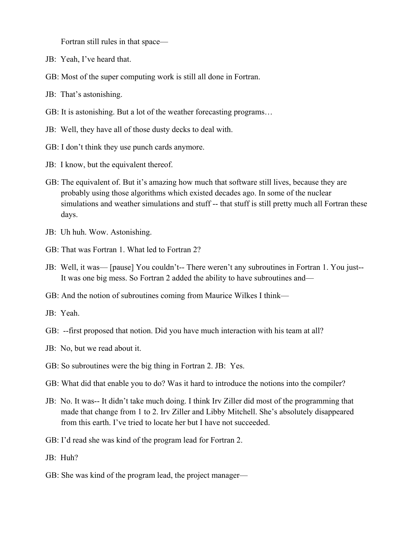Fortran still rules in that space—

- JB: Yeah, I've heard that.
- GB: Most of the super computing work is still all done in Fortran.
- JB: That's astonishing.
- GB: It is astonishing. But a lot of the weather forecasting programs…
- JB: Well, they have all of those dusty decks to deal with.
- GB: I don't think they use punch cards anymore.
- JB: I know, but the equivalent thereof.
- GB: The equivalent of. But it's amazing how much that software still lives, because they are probably using those algorithms which existed decades ago. In some of the nuclear simulations and weather simulations and stuff -- that stuff is still pretty much all Fortran these days.
- JB: Uh huh. Wow. Astonishing.
- GB: That was Fortran 1. What led to Fortran 2?
- JB: Well, it was— [pause] You couldn't-- There weren't any subroutines in Fortran 1. You just-- It was one big mess. So Fortran 2 added the ability to have subroutines and—
- GB: And the notion of subroutines coming from Maurice Wilkes I think—
- JB: Yeah.
- GB: --first proposed that notion. Did you have much interaction with his team at all?
- JB: No, but we read about it.
- GB: So subroutines were the big thing in Fortran 2. JB: Yes.
- GB: What did that enable you to do? Was it hard to introduce the notions into the compiler?
- JB: No. It was-- It didn't take much doing. I think Irv Ziller did most of the programming that made that change from 1 to 2. Irv Ziller and Libby Mitchell. She's absolutely disappeared from this earth. I've tried to locate her but I have not succeeded.
- GB: I'd read she was kind of the program lead for Fortran 2.
- JB: Huh?
- GB: She was kind of the program lead, the project manager—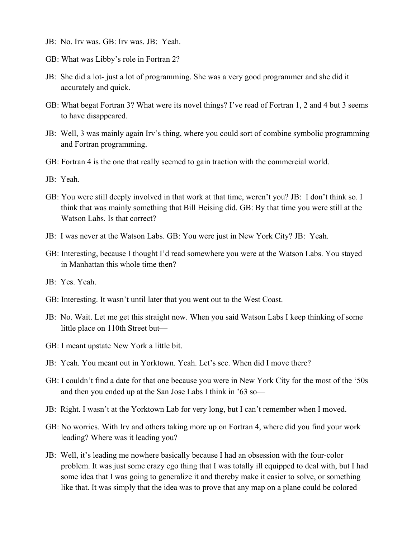- JB: No. Irv was. GB: Irv was. JB: Yeah.
- GB: What was Libby's role in Fortran 2?
- JB: She did a lot- just a lot of programming. She was a very good programmer and she did it accurately and quick.
- GB: What begat Fortran 3? What were its novel things? I've read of Fortran 1, 2 and 4 but 3 seems to have disappeared.
- JB: Well, 3 was mainly again Irv's thing, where you could sort of combine symbolic programming and Fortran programming.
- GB: Fortran 4 is the one that really seemed to gain traction with the commercial world.
- JB: Yeah.
- GB: You were still deeply involved in that work at that time, weren't you? JB: I don't think so. I think that was mainly something that Bill Heising did. GB: By that time you were still at the Watson Labs. Is that correct?
- JB: I was never at the Watson Labs. GB: You were just in New York City? JB: Yeah.
- GB: Interesting, because I thought I'd read somewhere you were at the Watson Labs. You stayed in Manhattan this whole time then?
- JB: Yes. Yeah.
- GB: Interesting. It wasn't until later that you went out to the West Coast.
- JB: No. Wait. Let me get this straight now. When you said Watson Labs I keep thinking of some little place on 110th Street but—
- GB: I meant upstate New York a little bit.
- JB: Yeah. You meant out in Yorktown. Yeah. Let's see. When did I move there?
- GB: I couldn't find a date for that one because you were in New York City for the most of the '50s and then you ended up at the San Jose Labs I think in '63 so—
- JB: Right. I wasn't at the Yorktown Lab for very long, but I can't remember when I moved.
- GB: No worries. With Irv and others taking more up on Fortran 4, where did you find your work leading? Where was it leading you?
- JB: Well, it's leading me nowhere basically because I had an obsession with the four-color problem. It was just some crazy ego thing that I was totally ill equipped to deal with, but I had some idea that I was going to generalize it and thereby make it easier to solve, or something like that. It was simply that the idea was to prove that any map on a plane could be colored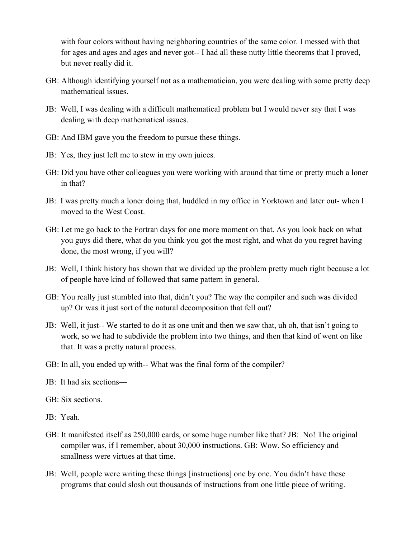with four colors without having neighboring countries of the same color. I messed with that for ages and ages and ages and never got-- I had all these nutty little theorems that I proved, but never really did it.

- GB: Although identifying yourself not as a mathematician, you were dealing with some pretty deep mathematical issues.
- JB: Well, I was dealing with a difficult mathematical problem but I would never say that I was dealing with deep mathematical issues.
- GB: And IBM gave you the freedom to pursue these things.
- JB: Yes, they just left me to stew in my own juices.
- GB: Did you have other colleagues you were working with around that time or pretty much a loner in that?
- JB: I was pretty much a loner doing that, huddled in my office in Yorktown and later out- when I moved to the West Coast.
- GB: Let me go back to the Fortran days for one more moment on that. As you look back on what you guys did there, what do you think you got the most right, and what do you regret having done, the most wrong, if you will?
- JB: Well, I think history has shown that we divided up the problem pretty much right because a lot of people have kind of followed that same pattern in general.
- GB: You really just stumbled into that, didn't you? The way the compiler and such was divided up? Or was it just sort of the natural decomposition that fell out?
- JB: Well, it just-- We started to do it as one unit and then we saw that, uh oh, that isn't going to work, so we had to subdivide the problem into two things, and then that kind of went on like that. It was a pretty natural process.
- GB: In all, you ended up with-- What was the final form of the compiler?
- JB: It had six sections—
- GB: Six sections.
- JB: Yeah.
- GB: It manifested itself as 250,000 cards, or some huge number like that? JB: No! The original compiler was, if I remember, about 30,000 instructions. GB: Wow. So efficiency and smallness were virtues at that time.
- JB: Well, people were writing these things [instructions] one by one. You didn't have these programs that could slosh out thousands of instructions from one little piece of writing.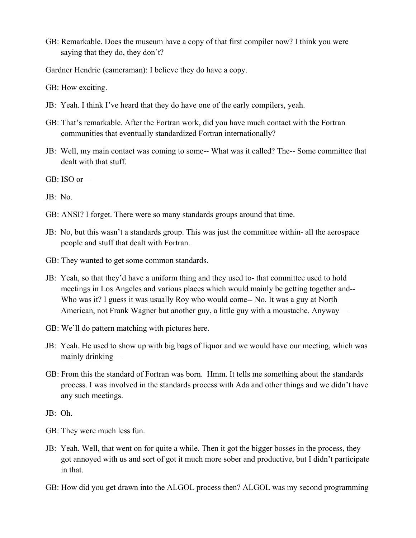GB: Remarkable. Does the museum have a copy of that first compiler now? I think you were saying that they do, they don't?

Gardner Hendrie (cameraman): I believe they do have a copy.

GB: How exciting.

- JB: Yeah. I think I've heard that they do have one of the early compilers, yeah.
- GB: That's remarkable. After the Fortran work, did you have much contact with the Fortran communities that eventually standardized Fortran internationally?
- JB: Well, my main contact was coming to some-- What was it called? The-- Some committee that dealt with that stuff.

GB: ISO or—

JB: No.

- GB: ANSI? I forget. There were so many standards groups around that time.
- JB: No, but this wasn't a standards group. This was just the committee within- all the aerospace people and stuff that dealt with Fortran.
- GB: They wanted to get some common standards.
- JB: Yeah, so that they'd have a uniform thing and they used to- that committee used to hold meetings in Los Angeles and various places which would mainly be getting together and-- Who was it? I guess it was usually Roy who would come-- No. It was a guy at North American, not Frank Wagner but another guy, a little guy with a moustache. Anyway—
- GB: We'll do pattern matching with pictures here.
- JB: Yeah. He used to show up with big bags of liquor and we would have our meeting, which was mainly drinking—
- GB: From this the standard of Fortran was born. Hmm. It tells me something about the standards process. I was involved in the standards process with Ada and other things and we didn't have any such meetings.

JB: Oh.

- GB: They were much less fun.
- JB: Yeah. Well, that went on for quite a while. Then it got the bigger bosses in the process, they got annoyed with us and sort of got it much more sober and productive, but I didn't participate in that.
- GB: How did you get drawn into the ALGOL process then? ALGOL was my second programming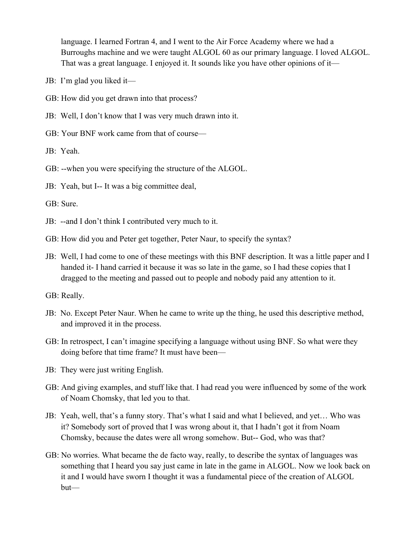language. I learned Fortran 4, and I went to the Air Force Academy where we had a Burroughs machine and we were taught ALGOL 60 as our primary language. I loved ALGOL. That was a great language. I enjoyed it. It sounds like you have other opinions of it—

- JB: I'm glad you liked it—
- GB: How did you get drawn into that process?
- JB: Well, I don't know that I was very much drawn into it.
- GB: Your BNF work came from that of course—

JB: Yeah.

- GB: --when you were specifying the structure of the ALGOL.
- JB: Yeah, but I-- It was a big committee deal,

GB: Sure.

- JB: --and I don't think I contributed very much to it.
- GB: How did you and Peter get together, Peter Naur, to specify the syntax?
- JB: Well, I had come to one of these meetings with this BNF description. It was a little paper and I handed it- I hand carried it because it was so late in the game, so I had these copies that I dragged to the meeting and passed out to people and nobody paid any attention to it.

GB: Really.

- JB: No. Except Peter Naur. When he came to write up the thing, he used this descriptive method, and improved it in the process.
- GB: In retrospect, I can't imagine specifying a language without using BNF. So what were they doing before that time frame? It must have been—
- JB: They were just writing English.
- GB: And giving examples, and stuff like that. I had read you were influenced by some of the work of Noam Chomsky, that led you to that.
- JB: Yeah, well, that's a funny story. That's what I said and what I believed, and yet… Who was it? Somebody sort of proved that I was wrong about it, that I hadn't got it from Noam Chomsky, because the dates were all wrong somehow. But-- God, who was that?
- GB: No worries. What became the de facto way, really, to describe the syntax of languages was something that I heard you say just came in late in the game in ALGOL. Now we look back on it and I would have sworn I thought it was a fundamental piece of the creation of ALGOL but—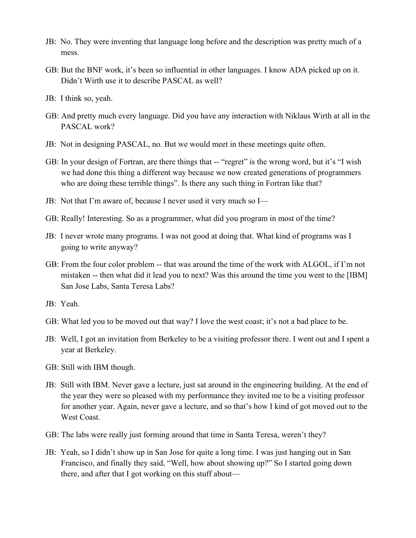- JB: No. They were inventing that language long before and the description was pretty much of a mess.
- GB: But the BNF work, it's been so influential in other languages. I know ADA picked up on it. Didn't Wirth use it to describe PASCAL as well?
- JB: I think so, yeah.
- GB: And pretty much every language. Did you have any interaction with Niklaus Wirth at all in the PASCAL work?
- JB: Not in designing PASCAL, no. But we would meet in these meetings quite often.
- GB: In your design of Fortran, are there things that -- "regret" is the wrong word, but it's "I wish we had done this thing a different way because we now created generations of programmers who are doing these terrible things". Is there any such thing in Fortran like that?
- JB: Not that I'm aware of, because I never used it very much so I—
- GB: Really! Interesting. So as a programmer, what did you program in most of the time?
- JB: I never wrote many programs. I was not good at doing that. What kind of programs was I going to write anyway?
- GB: From the four color problem -- that was around the time of the work with ALGOL, if I'm not mistaken -- then what did it lead you to next? Was this around the time you went to the [IBM] San Jose Labs, Santa Teresa Labs?
- JB: Yeah.
- GB: What led you to be moved out that way? I love the west coast; it's not a bad place to be.
- JB: Well, I got an invitation from Berkeley to be a visiting professor there. I went out and I spent a year at Berkeley.
- GB: Still with IBM though.
- JB: Still with IBM. Never gave a lecture, just sat around in the engineering building. At the end of the year they were so pleased with my performance they invited me to be a visiting professor for another year. Again, never gave a lecture, and so that's how I kind of got moved out to the West Coast.
- GB: The labs were really just forming around that time in Santa Teresa, weren't they?
- JB: Yeah, so I didn't show up in San Jose for quite a long time. I was just hanging out in San Francisco, and finally they said, "Well, how about showing up?" So I started going down there, and after that I got working on this stuff about—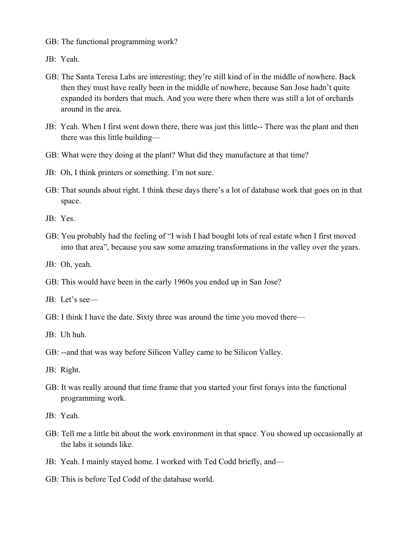- GB: The functional programming work?
- JB: Yeah.
- GB: The Santa Teresa Labs are interesting; they're still kind of in the middle of nowhere. Back then they must have really been in the middle of nowhere, because San Jose hadn't quite expanded its borders that much. And you were there when there was still a lot of orchards around in the area.
- JB: Yeah. When I first went down there, there was just this little-- There was the plant and then there was this little building—
- GB: What were they doing at the plant? What did they manufacture at that time?
- JB: Oh, I think printers or something. I'm not sure.
- GB: That sounds about right. I think these days there's a lot of database work that goes on in that space.

- GB: You probably had the feeling of "I wish I had bought lots of real estate when I first moved into that area", because you saw some amazing transformations in the valley over the years.
- JB: Oh, yeah.
- GB: This would have been in the early 1960s you ended up in San Jose?
- JB: Let's see—
- GB: I think I have the date. Sixty three was around the time you moved there—
- JB: Uh huh.
- GB: --and that was way before Silicon Valley came to be Silicon Valley.
- JB: Right.
- GB: It was really around that time frame that you started your first forays into the functional programming work.
- JB: Yeah.
- GB: Tell me a little bit about the work environment in that space. You showed up occasionally at the labs it sounds like.
- JB: Yeah. I mainly stayed home. I worked with Ted Codd briefly, and—
- GB: This is before Ted Codd of the database world.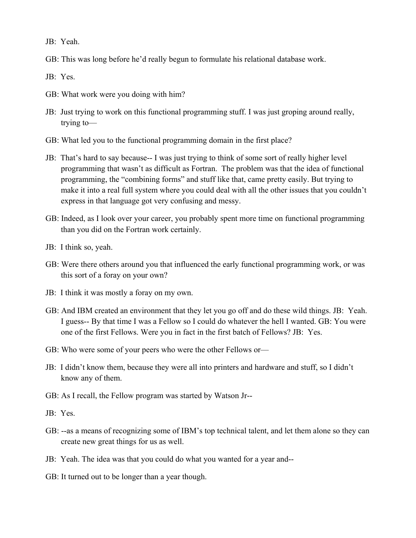JB: Yeah.

GB: This was long before he'd really begun to formulate his relational database work.

- GB: What work were you doing with him?
- JB: Just trying to work on this functional programming stuff. I was just groping around really, trying to—
- GB: What led you to the functional programming domain in the first place?
- JB: That's hard to say because-- I was just trying to think of some sort of really higher level programming that wasn't as difficult as Fortran. The problem was that the idea of functional programming, the "combining forms" and stuff like that, came pretty easily. But trying to make it into a real full system where you could deal with all the other issues that you couldn't express in that language got very confusing and messy.
- GB: Indeed, as I look over your career, you probably spent more time on functional programming than you did on the Fortran work certainly.
- JB: I think so, yeah.
- GB: Were there others around you that influenced the early functional programming work, or was this sort of a foray on your own?
- JB: I think it was mostly a foray on my own.
- GB: And IBM created an environment that they let you go off and do these wild things. JB: Yeah. I guess-- By that time I was a Fellow so I could do whatever the hell I wanted. GB: You were one of the first Fellows. Were you in fact in the first batch of Fellows? JB: Yes.
- GB: Who were some of your peers who were the other Fellows or—
- JB: I didn't know them, because they were all into printers and hardware and stuff, so I didn't know any of them.
- GB: As I recall, the Fellow program was started by Watson Jr--
- JB: Yes.
- GB: --as a means of recognizing some of IBM's top technical talent, and let them alone so they can create new great things for us as well.
- JB: Yeah. The idea was that you could do what you wanted for a year and--
- GB: It turned out to be longer than a year though.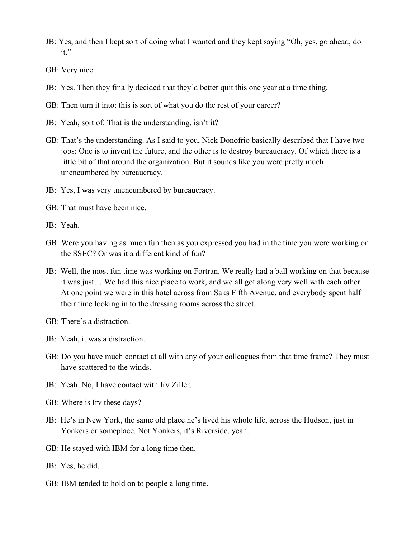- JB: Yes, and then I kept sort of doing what I wanted and they kept saying "Oh, yes, go ahead, do it."
- GB: Very nice.
- JB: Yes. Then they finally decided that they'd better quit this one year at a time thing.
- GB: Then turn it into: this is sort of what you do the rest of your career?
- JB: Yeah, sort of. That is the understanding, isn't it?
- GB: That's the understanding. As I said to you, Nick Donofrio basically described that I have two jobs: One is to invent the future, and the other is to destroy bureaucracy. Of which there is a little bit of that around the organization. But it sounds like you were pretty much unencumbered by bureaucracy.
- JB: Yes, I was very unencumbered by bureaucracy.
- GB: That must have been nice.
- JB: Yeah.
- GB: Were you having as much fun then as you expressed you had in the time you were working on the SSEC? Or was it a different kind of fun?
- JB: Well, the most fun time was working on Fortran. We really had a ball working on that because it was just… We had this nice place to work, and we all got along very well with each other. At one point we were in this hotel across from Saks Fifth Avenue, and everybody spent half their time looking in to the dressing rooms across the street.
- GB: There's a distraction.
- JB: Yeah, it was a distraction.
- GB: Do you have much contact at all with any of your colleagues from that time frame? They must have scattered to the winds.
- JB: Yeah. No, I have contact with Irv Ziller.
- GB: Where is Irv these days?
- JB: He's in New York, the same old place he's lived his whole life, across the Hudson, just in Yonkers or someplace. Not Yonkers, it's Riverside, yeah.
- GB: He stayed with IBM for a long time then.
- JB: Yes, he did.
- GB: IBM tended to hold on to people a long time.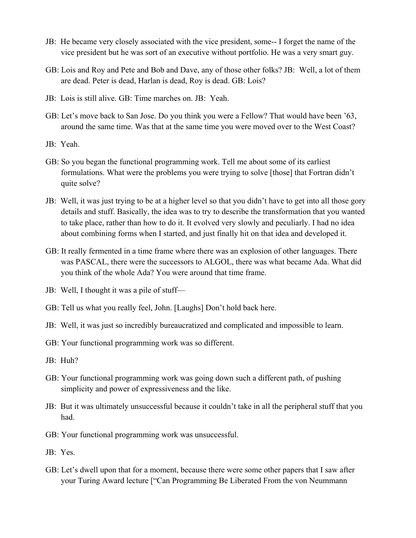- JB: He became very closely associated with the vice president, some-- I forget the name of the vice president but he was sort of an executive without portfolio. He was a very smart guy.
- GB: Lois and Roy and Pete and Bob and Dave, any of those other folks? JB: Well, a lot of them are dead. Peter is dead, Harlan is dead, Roy is dead. GB: Lois?
- JB: Lois is still alive. GB: Time marches on. JB: Yeah.
- GB: Let's move back to San Jose. Do you think you were a Fellow? That would have been '63, around the same time. Was that at the same time you were moved over to the West Coast?
- JB: Yeah.
- GB: So you began the functional programming work. Tell me about some of its earliest formulations. What were the problems you were trying to solve [those] that Fortran didn't quite solve?
- JB: Well, it was just trying to be at a higher level so that you didn't have to get into all those gory details and stuff. Basically, the idea was to try to describe the transformation that you wanted to take place, rather than how to do it. It evolved very slowly and peculiarly. I had no idea about combining forms when I started, and just finally hit on that idea and developed it.
- GB: It really fermented in a time frame where there was an explosion of other languages. There was PASCAL, there were the successors to ALGOL, there was what became Ada. What did you think of the whole Ada? You were around that time frame.
- JB: Well, I thought it was a pile of stuff—
- GB: Tell us what you really feel, John. [Laughs] Don't hold back here.
- JB: Well, it was just so incredibly bureaucratized and complicated and impossible to learn.
- GB: Your functional programming work was so different.
- JB: Huh?
- GB: Your functional programming work was going down such a different path, of pushing simplicity and power of expressiveness and the like.
- JB: But it was ultimately unsuccessful because it couldn't take in all the peripheral stuff that you had.
- GB: Your functional programming work was unsuccessful.
- JB: Yes.
- GB: Let's dwell upon that for a moment, because there were some other papers that I saw after your Turing Award lecture ["Can Programming Be Liberated From the von Neummann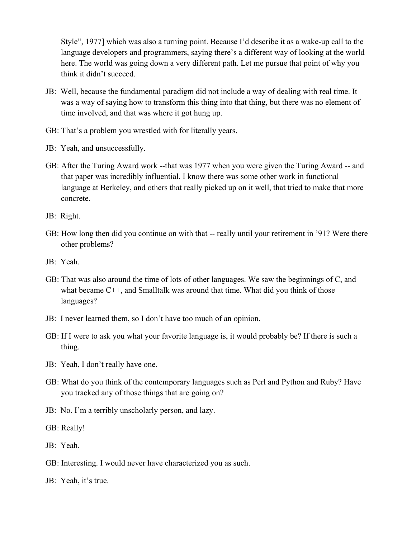Style", 1977] which was also a turning point. Because I'd describe it as a wake-up call to the language developers and programmers, saying there's a different way of looking at the world here. The world was going down a very different path. Let me pursue that point of why you think it didn't succeed.

- JB: Well, because the fundamental paradigm did not include a way of dealing with real time. It was a way of saying how to transform this thing into that thing, but there was no element of time involved, and that was where it got hung up.
- GB: That's a problem you wrestled with for literally years.
- JB: Yeah, and unsuccessfully.
- GB: After the Turing Award work --that was 1977 when you were given the Turing Award -- and that paper was incredibly influential. I know there was some other work in functional language at Berkeley, and others that really picked up on it well, that tried to make that more concrete.

JB: Right.

- GB: How long then did you continue on with that -- really until your retirement in '91? Were there other problems?
- JB: Yeah.
- GB: That was also around the time of lots of other languages. We saw the beginnings of C, and what became C++, and Smalltalk was around that time. What did you think of those languages?
- JB: I never learned them, so I don't have too much of an opinion.
- GB: If I were to ask you what your favorite language is, it would probably be? If there is such a thing.
- JB: Yeah, I don't really have one.
- GB: What do you think of the contemporary languages such as Perl and Python and Ruby? Have you tracked any of those things that are going on?
- JB: No. I'm a terribly unscholarly person, and lazy.
- GB: Really!
- JB: Yeah.
- GB: Interesting. I would never have characterized you as such.
- JB: Yeah, it's true.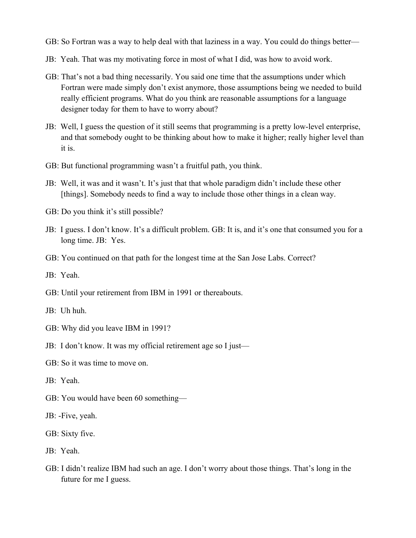GB: So Fortran was a way to help deal with that laziness in a way. You could do things better—

- JB: Yeah. That was my motivating force in most of what I did, was how to avoid work.
- GB: That's not a bad thing necessarily. You said one time that the assumptions under which Fortran were made simply don't exist anymore, those assumptions being we needed to build really efficient programs. What do you think are reasonable assumptions for a language designer today for them to have to worry about?
- JB: Well, I guess the question of it still seems that programming is a pretty low-level enterprise, and that somebody ought to be thinking about how to make it higher; really higher level than it is.
- GB: But functional programming wasn't a fruitful path, you think.
- JB: Well, it was and it wasn't. It's just that that whole paradigm didn't include these other [things]. Somebody needs to find a way to include those other things in a clean way.
- GB: Do you think it's still possible?
- JB: I guess. I don't know. It's a difficult problem. GB: It is, and it's one that consumed you for a long time. JB: Yes.
- GB: You continued on that path for the longest time at the San Jose Labs. Correct?
- JB: Yeah.
- GB: Until your retirement from IBM in 1991 or thereabouts.

JB: Uh huh.

- GB: Why did you leave IBM in 1991?
- JB: I don't know. It was my official retirement age so I just—
- GB: So it was time to move on.

JB: Yeah.

- GB: You would have been 60 something—
- JB: -Five, yeah.
- GB: Sixty five.
- JB: Yeah.
- GB: I didn't realize IBM had such an age. I don't worry about those things. That's long in the future for me I guess.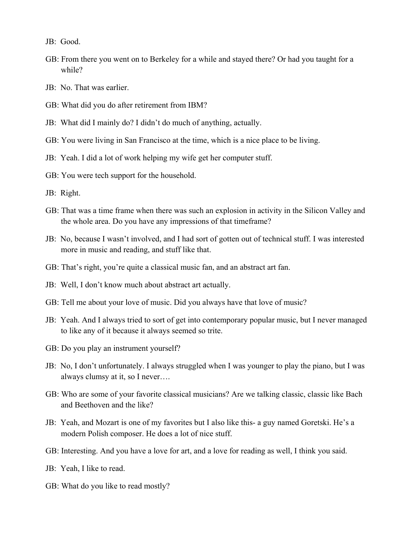JB: Good.

- GB: From there you went on to Berkeley for a while and stayed there? Or had you taught for a while?
- JB: No. That was earlier.
- GB: What did you do after retirement from IBM?
- JB: What did I mainly do? I didn't do much of anything, actually.
- GB: You were living in San Francisco at the time, which is a nice place to be living.
- JB: Yeah. I did a lot of work helping my wife get her computer stuff.
- GB: You were tech support for the household.
- JB: Right.
- GB: That was a time frame when there was such an explosion in activity in the Silicon Valley and the whole area. Do you have any impressions of that timeframe?
- JB: No, because I wasn't involved, and I had sort of gotten out of technical stuff. I was interested more in music and reading, and stuff like that.
- GB: That's right, you're quite a classical music fan, and an abstract art fan.
- JB: Well, I don't know much about abstract art actually.
- GB: Tell me about your love of music. Did you always have that love of music?
- JB: Yeah. And I always tried to sort of get into contemporary popular music, but I never managed to like any of it because it always seemed so trite.
- GB: Do you play an instrument yourself?
- JB: No, I don't unfortunately. I always struggled when I was younger to play the piano, but I was always clumsy at it, so I never….
- GB: Who are some of your favorite classical musicians? Are we talking classic, classic like Bach and Beethoven and the like?
- JB: Yeah, and Mozart is one of my favorites but I also like this- a guy named Goretski. He's a modern Polish composer. He does a lot of nice stuff.
- GB: Interesting. And you have a love for art, and a love for reading as well, I think you said.
- JB: Yeah, I like to read.
- GB: What do you like to read mostly?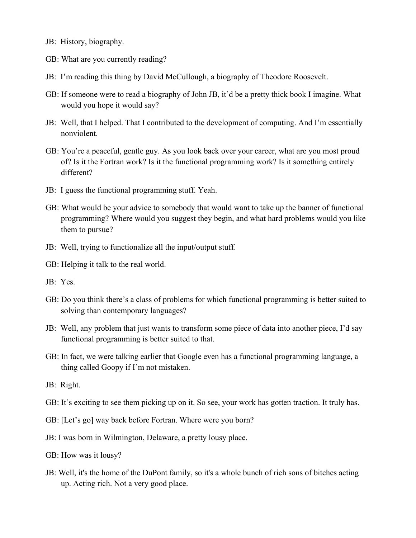- JB: History, biography.
- GB: What are you currently reading?
- JB: I'm reading this thing by David McCullough, a biography of Theodore Roosevelt.
- GB: If someone were to read a biography of John JB, it'd be a pretty thick book I imagine. What would you hope it would say?
- JB: Well, that I helped. That I contributed to the development of computing. And I'm essentially nonviolent.
- GB: You're a peaceful, gentle guy. As you look back over your career, what are you most proud of? Is it the Fortran work? Is it the functional programming work? Is it something entirely different?
- JB: I guess the functional programming stuff. Yeah.
- GB: What would be your advice to somebody that would want to take up the banner of functional programming? Where would you suggest they begin, and what hard problems would you like them to pursue?
- JB: Well, trying to functionalize all the input/output stuff.
- GB: Helping it talk to the real world.
- JB: Yes.
- GB: Do you think there's a class of problems for which functional programming is better suited to solving than contemporary languages?
- JB: Well, any problem that just wants to transform some piece of data into another piece, I'd say functional programming is better suited to that.
- GB: In fact, we were talking earlier that Google even has a functional programming language, a thing called Goopy if I'm not mistaken.
- JB: Right.
- GB: It's exciting to see them picking up on it. So see, your work has gotten traction. It truly has.
- GB: [Let's go] way back before Fortran. Where were you born?
- JB: I was born in Wilmington, Delaware, a pretty lousy place.
- GB: How was it lousy?
- JB: Well, it's the home of the DuPont family, so it's a whole bunch of rich sons of bitches acting up. Acting rich. Not a very good place.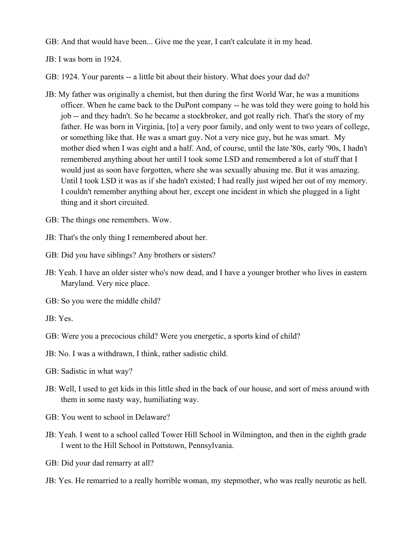GB: And that would have been... Give me the year, I can't calculate it in my head.

JB: I was born in 1924.

GB: 1924. Your parents -- a little bit about their history. What does your dad do?

- JB: My father was originally a chemist, but then during the first World War, he was a munitions officer. When he came back to the DuPont company -- he was told they were going to hold his job -- and they hadn't. So he became a stockbroker, and got really rich. That's the story of my father. He was born in Virginia, [to] a very poor family, and only went to two years of college, or something like that. He was a smart guy. Not a very nice guy, but he was smart. My mother died when I was eight and a half. And, of course, until the late '80s, early '90s, I hadn't remembered anything about her until I took some LSD and remembered a lot of stuff that I would just as soon have forgotten, where she was sexually abusing me. But it was amazing. Until I took LSD it was as if she hadn't existed; I had really just wiped her out of my memory. I couldn't remember anything about her, except one incident in which she plugged in a light thing and it short circuited.
- GB: The things one remembers. Wow.
- JB: That's the only thing I remembered about her.
- GB: Did you have siblings? Any brothers or sisters?
- JB: Yeah. I have an older sister who's now dead, and I have a younger brother who lives in eastern Maryland. Very nice place.
- GB: So you were the middle child?
- JB: Yes.
- GB: Were you a precocious child? Were you energetic, a sports kind of child?
- JB: No. I was a withdrawn, I think, rather sadistic child.
- GB: Sadistic in what way?
- JB: Well, I used to get kids in this little shed in the back of our house, and sort of mess around with them in some nasty way, humiliating way.
- GB: You went to school in Delaware?
- JB: Yeah. I went to a school called Tower Hill School in Wilmington, and then in the eighth grade I went to the Hill School in Pottstown, Pennsylvania.
- GB: Did your dad remarry at all?
- JB: Yes. He remarried to a really horrible woman, my stepmother, who was really neurotic as hell.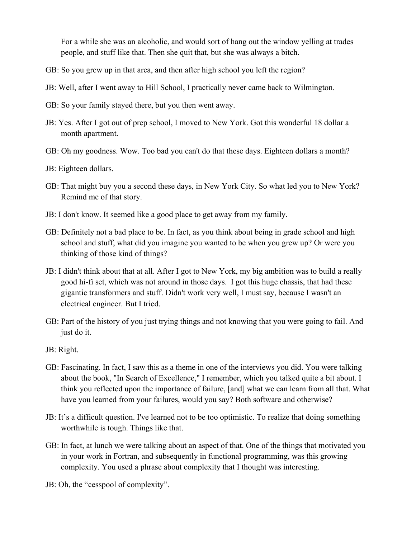For a while she was an alcoholic, and would sort of hang out the window yelling at trades people, and stuff like that. Then she quit that, but she was always a bitch.

- GB: So you grew up in that area, and then after high school you left the region?
- JB: Well, after I went away to Hill School, I practically never came back to Wilmington.
- GB: So your family stayed there, but you then went away.
- JB: Yes. After I got out of prep school, I moved to New York. Got this wonderful 18 dollar a month apartment.
- GB: Oh my goodness. Wow. Too bad you can't do that these days. Eighteen dollars a month?
- JB: Eighteen dollars.
- GB: That might buy you a second these days, in New York City. So what led you to New York? Remind me of that story.
- JB: I don't know. It seemed like a good place to get away from my family.
- GB: Definitely not a bad place to be. In fact, as you think about being in grade school and high school and stuff, what did you imagine you wanted to be when you grew up? Or were you thinking of those kind of things?
- JB: I didn't think about that at all. After I got to New York, my big ambition was to build a really good hi-fi set, which was not around in those days. I got this huge chassis, that had these gigantic transformers and stuff. Didn't work very well, I must say, because I wasn't an electrical engineer. But I tried.
- GB: Part of the history of you just trying things and not knowing that you were going to fail. And just do it.
- JB: Right.
- GB: Fascinating. In fact, I saw this as a theme in one of the interviews you did. You were talking about the book, "In Search of Excellence," I remember, which you talked quite a bit about. I think you reflected upon the importance of failure, [and] what we can learn from all that. What have you learned from your failures, would you say? Both software and otherwise?
- JB: It's a difficult question. I've learned not to be too optimistic. To realize that doing something worthwhile is tough. Things like that.
- GB: In fact, at lunch we were talking about an aspect of that. One of the things that motivated you in your work in Fortran, and subsequently in functional programming, was this growing complexity. You used a phrase about complexity that I thought was interesting.
- JB: Oh, the "cesspool of complexity".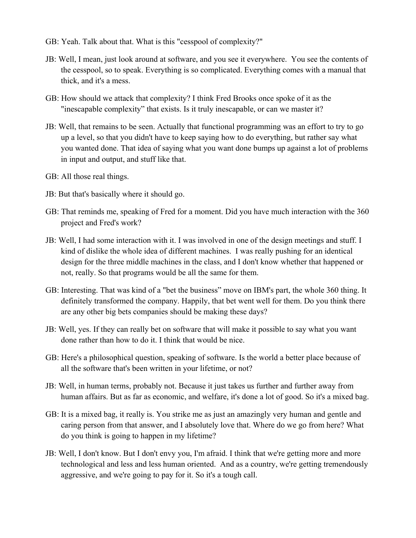- GB: Yeah. Talk about that. What is this "cesspool of complexity?"
- JB: Well, I mean, just look around at software, and you see it everywhere. You see the contents of the cesspool, so to speak. Everything is so complicated. Everything comes with a manual that thick, and it's a mess.
- GB: How should we attack that complexity? I think Fred Brooks once spoke of it as the "inescapable complexity" that exists. Is it truly inescapable, or can we master it?
- JB: Well, that remains to be seen. Actually that functional programming was an effort to try to go up a level, so that you didn't have to keep saying how to do everything, but rather say what you wanted done. That idea of saying what you want done bumps up against a lot of problems in input and output, and stuff like that.
- GB: All those real things.
- JB: But that's basically where it should go.
- GB: That reminds me, speaking of Fred for a moment. Did you have much interaction with the 360 project and Fred's work?
- JB: Well, I had some interaction with it. I was involved in one of the design meetings and stuff. I kind of dislike the whole idea of different machines. I was really pushing for an identical design for the three middle machines in the class, and I don't know whether that happened or not, really. So that programs would be all the same for them.
- GB: Interesting. That was kind of a "bet the business" move on IBM's part, the whole 360 thing. It definitely transformed the company. Happily, that bet went well for them. Do you think there are any other big bets companies should be making these days?
- JB: Well, yes. If they can really bet on software that will make it possible to say what you want done rather than how to do it. I think that would be nice.
- GB: Here's a philosophical question, speaking of software. Is the world a better place because of all the software that's been written in your lifetime, or not?
- JB: Well, in human terms, probably not. Because it just takes us further and further away from human affairs. But as far as economic, and welfare, it's done a lot of good. So it's a mixed bag.
- GB: It is a mixed bag, it really is. You strike me as just an amazingly very human and gentle and caring person from that answer, and I absolutely love that. Where do we go from here? What do you think is going to happen in my lifetime?
- JB: Well, I don't know. But I don't envy you, I'm afraid. I think that we're getting more and more technological and less and less human oriented. And as a country, we're getting tremendously aggressive, and we're going to pay for it. So it's a tough call.